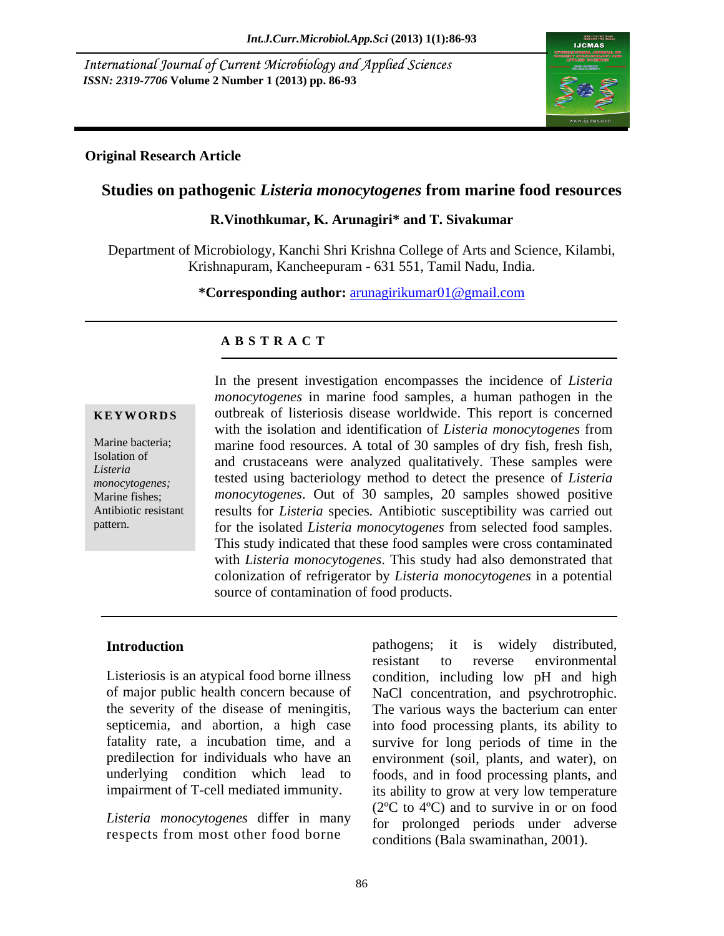International Journal of Current Microbiology and Applied Sciences *ISSN: 2319-7706* **Volume 2 Number 1 (2013) pp. 86-93**



## **Original Research Article**

# **Studies on pathogenic** *Listeria monocytogenes* **from marine food resources R.Vinothkumar, K. Arunagiri\* and T. Sivakumar**

Department of Microbiology, Kanchi Shri Krishna College of Arts and Science, Kilambi, Krishnapuram, Kancheepuram - 631 551, Tamil Nadu, India.

**\*Corresponding author:** arunagirikumar01@gmail.com

## **A B S T R A C T**

**KEYWORDS** outbreak of listeriosis disease worldwide. This report is concerned Marine bacteria; marine food resources. A total of 30 samples of dry fish, fresh fish, Isolation of and crustaceans were analyzed qualitatively. These samples were *Listeria*  tested using bacteriology method to detect the presence of *Listeria*  monocytogenes;<br>Marine fishes; *monocytogenes*. Out of 30 samples, 20 samples showed positive Antibiotic resistant results for *Listeria* species*.* Antibiotic susceptibility was carried out In the present investigation encompasses the incidence of *Listeria*<br> *Marine bacteria*<br> **EXWORDS** outbreak of listeriosis disease worldwide. This report is concerned<br>
with the isolation and identification of *Listeria mon monocytogenes* in marine food samples, a human pathogen in the with the isolation and identification of *Listeria monocytogenes* from for the isolated *Listeria monocytogenes* from selected food samples. This study indicated that these food samples were cross contaminated with *Listeria monocytogenes*. This study had also demonstrated that colonization of refrigerator by *Listeria monocytogenes* in a potential source of contamination of food products.

Listeriosis is an atypical food borne illness of major public health concern because of NaCl concentration, and psychrotrophic. the severity of the disease of meningitis, The various ways the bacterium can enter impairment of T-cell mediated immunity.

*Listeria monocytogenes* differ in many respects from most other food borne

**Introduction Example 10** pathogens; it is widely distributed, septicemia, and abortion, a high case into food processing plants, its ability to fatality rate, a incubation time, and a survive for long periods of time in the predilection for individuals who have an environment (soil, plants, and water), on underlying condition which lead to foods, and in food processing plants, and pathogens; it is widely distributed, resistant to reverse environmental condition, including low pH and high NaCl concentration, and psychrotrophic. The various ways the bacterium can enter its ability to grow at very low temperature (2ºC to 4ºC) and to survive in or on food for prolonged periods under adverse conditions (Bala swaminathan, 2001).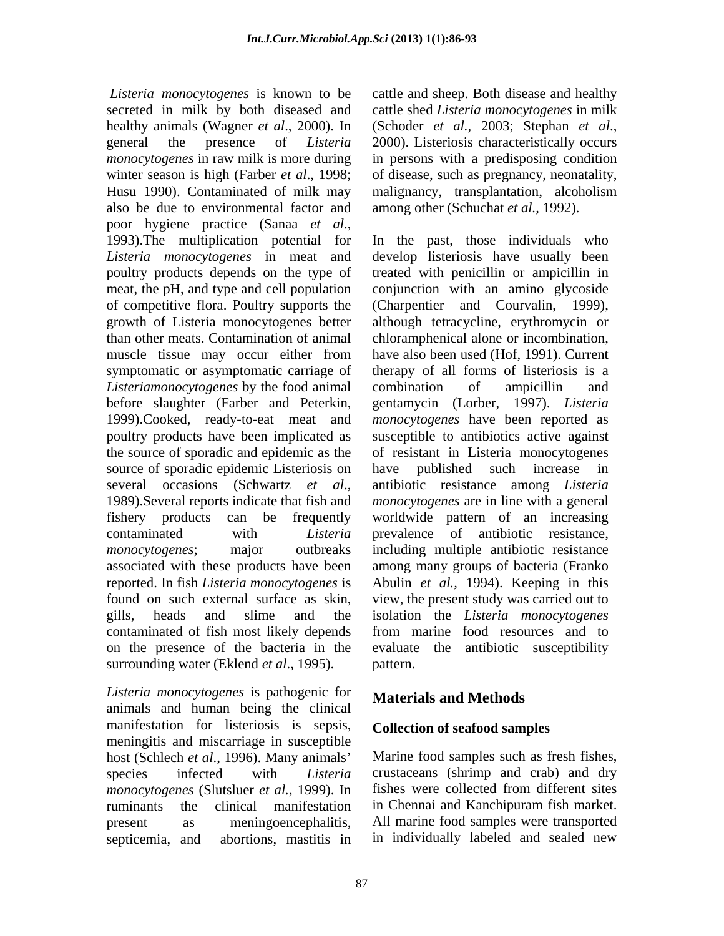*Listeria monocytogenes* is known to be cattle and sheep. Both disease and healthy secreted in milk by both diseased and cattle shed *Listeria monocytogenes* in milk healthy animals (Wagner *et al.*, 2000). In (Schoder *et al.*, 2003; Stephan *et al.*, general the presence of *Listeria monocytogenes* in raw milk is more during in persons with a predisposing condition winter season is high (Farber *et al*., 1998; of disease, such as pregnancy, neonatality, Husu 1990). Contaminated of milk may malignancy, transplantation, alcoholism also be due to environmental factor and poor hygiene practice (Sanaa *et al*.,<br>1993).The multiplication potential for In the past, those individuals who *Listeria monocytogenes* in meat and poultry products depends on the type of meat, the pH, and type and cell population of competitive flora. Poultry supports the growth of Listeria monocytogenes better than other meats. Contamination of animal muscle tissue may occur either from have also been used (Hof, 1991). Current symptomatic or asymptomatic carriage of *Listeriamonocytogenes* by the food animal before slaughter (Farber and Peterkin, 1999).Cooked, ready-to-eat meat and poultry products have been implicated as the source of sporadic and epidemic as the source of sporadic epidemic Listeriosis on have several occasions (Schwartz *et al.*, antibiotic resistance among *Listeria*<br>1989).Several reports indicate that fish and *monocytogenes* are in line with a general fishery products can be frequently worldwide pattern of an increasing contaminated with *Listeria*  prevalence of antibiotic resistance, *monocytogenes*; major outbreaks including multiple antibiotic resistance associated with these products have been reported. In fish *Listeria monocytogenes* is found on such external surface as skin, view, the present study was carried out to gills, heads and slime and the isolation the *Listeria monocytogenes* contaminated of fish most likely depends on the presence of the bacteria in the evaluate the antibiotic susceptibility surrounding water (Eklend *et al.*, 1995). pattern.

*Listeria monocytogenes* is pathogenic for animals and human being the clinical manifestation for listeriosis is sepsis, meningitis and miscarriage in susceptible host (Schlech *et al*., 1996). Many animals species infected with *Listeria*  crustaceans (shrimp and crab) and dry *monocytogenes* (Slutsluer *et al.,* 1999). In ruminants the clinical manifestation in Chennai and Kanchipuram fish market. present as meningoencephalitis, All marine food samples were transported septicemia, and abortions, mastitis in in individually labeled and sealed new

(Schoder *et al.,* 2003; Stephan *et al*., 2000). Listeriosis characteristically occurs malignancy, transplantation, alcoholism among other (Schuchat *et al.,* 1992).

In the past, those individuals who develop listeriosis have usually been treated with penicillin or ampicillin in conjunction with an amino glycoside (Charpentier and Courvalin, 1999), although tetracycline, erythromycin or chloramphenical alone or incombination, have also been used (Hof, 1991). Current therapy of all forms of listeriosis is a combination of ampicillin and gentamycin (Lorber, 1997). *Listeria monocytogenes* have been reported as susceptible to antibiotics active against of resistant in Listeria monocytogenes published such increase in antibiotic resistance among *Listeria monocytogenes* are in line with a general among many groups of bacteria (Franko Abulin *et al.,* 1994). Keeping in this from marine food resources and to pattern.

## **Materials and Methods**

## **Collection of seafood samples**

Marine food samples such as fresh fishes, fishes were collected from different sites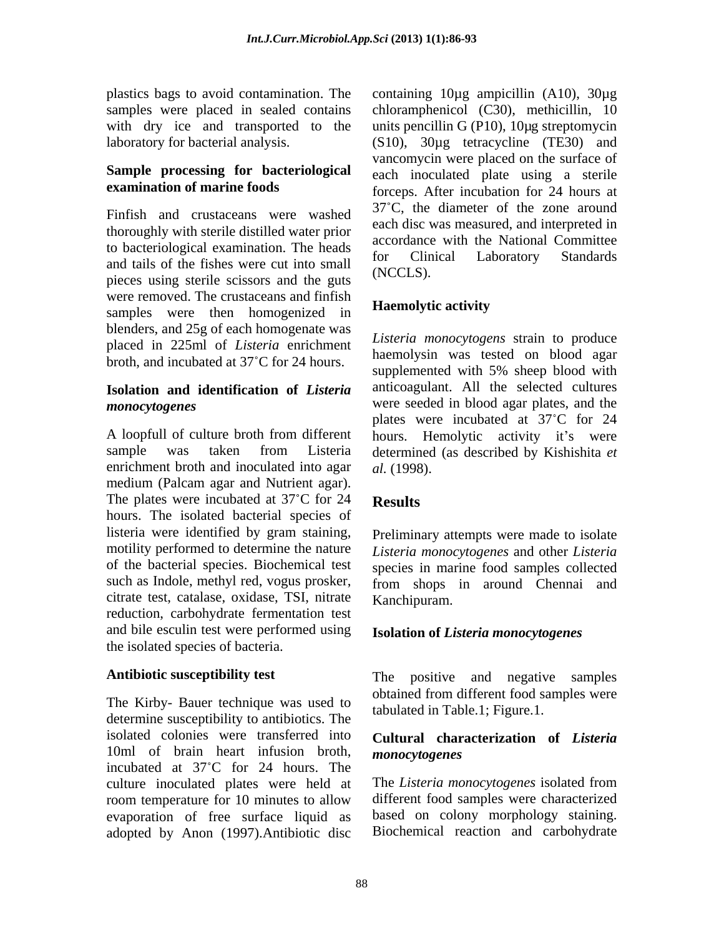## **Sample processing for bacteriological**

Finfish and crustaceans were washed thoroughly with sterile distilled water prior to bacteriological examination. The heads accordance with the National Committee and tails of the fishes were cut into small<br>ninearly principle existence and the cuts.  $\frac{1}{2}$  (NCCLS). pieces using sterile scissors and the guts were removed. The crustaceans and finfish<br>complex were then homogenized in **Haemolytic activity** samples were then homogenized in blenders, and 25g of each homogenate was placed in 225ml of *Listeria* enrichment broth, and incubated at 37°C for 24 hours.

## **Isolation and identification of** *Listeria*

A loopfull of culture broth from different hours. Hemolytic activity it's were sample was taken from Listeria determined (as described by Kishishita *et*  enrichment broth and inoculated into agar  $al. (1998)$ . medium (Palcam agar and Nutrient agar). The plates were incubated at  $37^{\circ}$ C for 24 Results hours. The isolated bacterial species of listeria were identified by gram staining, motility performed to determine the nature *Listeria monocytogenes* and other *Listeria* of the bacterial species. Biochemical test species in marine food samples collected such as Indole, methyl red, vogus prosker, from shops in around Chennai and citrate test, catalase, oxidase, TSI, nitrate reduction, carbohydrate fermentation test and bile esculin test were performed using the isolated species of bacteria.

The Kirby- Bauer technique was used to determine susceptibility to antibiotics. The isolated colonies were transferred into 10ml of brain heart infusion broth, *monocytogenes* incubated at 37 C for 24 hours. The culture inoculated plates were held at The Listeria monocytogenes isolated from room temperature for 10 minutes to allow evaporation of free surface liquid as adopted by Anon (1997).Antibiotic disc

plastics bags to avoid contamination. The containing 10µg ampicillin (A10), 30µg samples were placed in sealed contains chloramphenicol (C30), methicillin, 10 with dry ice and transported to the units pencillin G (P10), 10 u g streptomycin laboratory for bacterial analysis. (S10), 30µg tetracycline (TE30) and **examination of marine foods** forceps. After incubation for 24 hours at vancomycin were placed on the surface of each inoculated plate using a sterile 37 C, the diameter of the zone around each disc was measured, and interpreted in accordance with the National Committee for Clinical Laboratory Standards (NCCLS).

## **Haemolytic activity**

*monocytogenes* were seeded in blood agar plates, and the *Listeria monocytogens* strain to produce haemolysin was tested on blood agar supplemented with 5% sheep blood with anticoagulant. All the selected cultures plates were incubated at 37°C for 24 *al.* (1998).

## **Results**

Preliminary attempts were made to isolate Kanchipuram.

## **Isolation of** *Listeria monocytogenes*

Antibiotic susceptibility test The positive and negative samples obtained from different food samples were tabulated in Table.1; Figure.1.

## **Cultural characterization of** *Listeria monocytogenes*

The *Listeria monocytogenes* isolated from different food samples were characterized based on colony morphology staining. Biochemical reaction and carbohydrate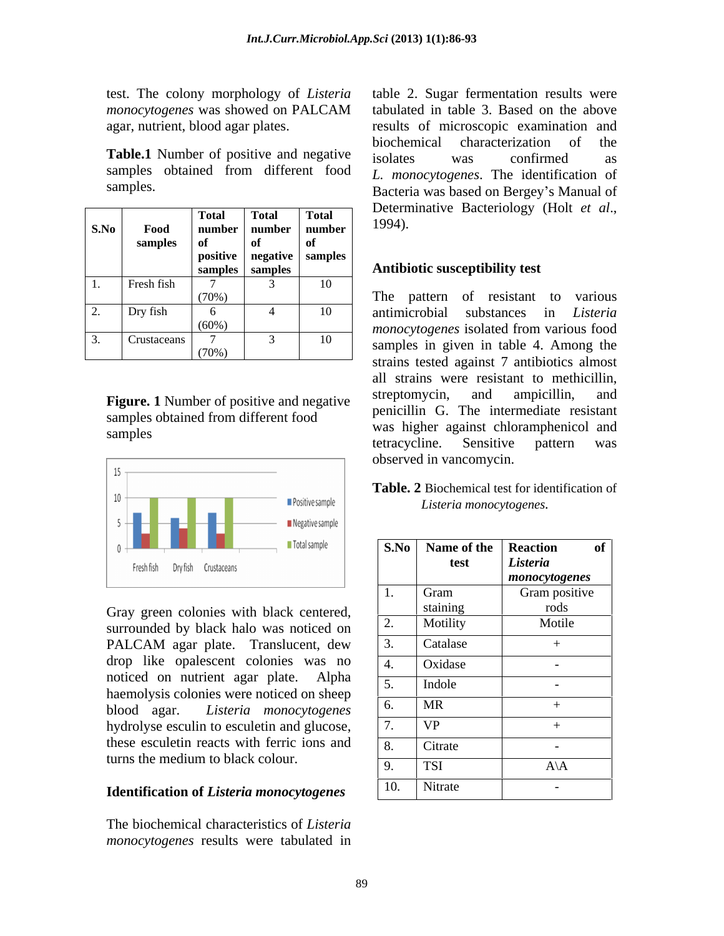|            |                  | Tota                          | <b>Total</b>      | <b>Total</b> | Determinative Bacteriology (Holt <i>et al.</i> , |
|------------|------------------|-------------------------------|-------------------|--------------|--------------------------------------------------|
| S.No       | <sup>7</sup> 00€ |                               | number   number   | number       | 1994).                                           |
|            | samples          |                               |                   | - 01         |                                                  |
|            |                  | positive   negative   samples |                   |              |                                                  |
|            |                  |                               | samples   samples |              | Antibiotic susceptibility test                   |
|            | Fresh fish       |                               |                   | 10           |                                                  |
|            |                  | (700/                         |                   |              | to various<br>The<br>resistant<br>pattern        |
|            | Dry fish         |                               |                   | 10           | antimicrobial<br>substances in <i>Listeria</i>   |
| <u>L</u> . |                  | $(60\%)$                      |                   |              |                                                  |
|            |                  |                               |                   |              | <i>monocytogenes</i> isolated from various food  |
|            | Crustaceans      |                               |                   | 10           | samples in given in table 4. Among the           |
|            |                  | $(70\%)$                      |                   |              |                                                  |



### **Identification of** *Listeria monocytogenes*

The biochemical characteristics of *Listeria monocytogenes* results were tabulated in

test. The colony morphology of *Listeria*  table 2. Sugar fermentation results were *monocytogenes* was showed on PALCAM tabulated in table 3. Based on the above agar, nutrient, blood agar plates. results of microscopic examination and **Table.1** Number of positive and negative isolates was confirmed as samples obtained from different food  $L$  monocytogenes. The identification of samples. Bacteria was based on Bergey's Manual of biochemical characterization of the isolates was confirmed as *L. monocytogenes*. The identification of Determinative Bacteriology (Holt *et al*., 1994). **Total Total Total**   $number \mid number \mid number \mid 1994$ ).  $number$  | number  $(1994)$ .  $number$   $1994$ .

## **Antibiotic susceptibility test samples**  $\vert$  **samples**  $\vert$  **Antibiotic susceptibility test**

| S.No<br>Food<br>samples | number   number   number<br>of<br>of                                          | 1994).                         |                                                 |
|-------------------------|-------------------------------------------------------------------------------|--------------------------------|-------------------------------------------------|
|                         | positive   negative   samples<br>$\overline{\mathbf{s}}$ samples              | Antibiotic susceptibility test |                                                 |
| Fresh fish              | 10<br>(70%)                                                                   |                                | The pattern of resistant to various             |
| Dry fish                | 10<br>$\overline{4}$<br>6                                                     |                                | antimicrobial substances in Listeria            |
|                         | $(60\%)$                                                                      |                                | <i>monocytogenes</i> isolated from various food |
| Crustaceans             | 10                                                                            |                                | samples in given in table 4. Among the          |
|                         | $(70\%)$                                                                      |                                | strains tested against 7 antibiotics almost     |
|                         |                                                                               |                                | all strains were resistant to methicillin,      |
|                         | <b>Figure. 1</b> Number of positive and negative                              |                                | streptomycin, and ampicillin, and               |
|                         | samples obtained from different food                                          |                                | penicillin G. The intermediate resistant        |
| samples                 |                                                                               |                                | was higher against chloramphenicol and          |
|                         |                                                                               |                                | tetracycline. Sensitive pattern was             |
|                         |                                                                               | observed in vancomycin.        |                                                 |
|                         |                                                                               |                                | Table. 2 Biochemical test for identification of |
|                         | Positive sample<br>■ Negative sample                                          | Listeria monocytogenes.        |                                                 |
|                         | Total sample                                                                  | S.No Name of the Reaction      | of                                              |
|                         | Fresh fish Dry fish Crustaceans                                               | test                           | Listeria                                        |
|                         |                                                                               |                                | monocytogenes                                   |
|                         |                                                                               | Gram                           | Gram positive                                   |
|                         | Gray green colonies with black centered,                                      | staining<br>Motility           | rods<br>Motile                                  |
|                         | surrounded by black halo was noticed on                                       |                                |                                                 |
|                         | PALCAM agar plate. Translucent, dew                                           | Catalase                       | $+$                                             |
|                         | drop like opalescent colonies was no<br>noticed on nutrient agar plate. Alpha | Oxidase                        | $\sim 10^{-11}$                                 |
|                         | haemolysis colonies were noticed on sheep                                     | Indole                         | $\sim$                                          |
|                         | blood agar. Listeria monocytogenes                                            | MR<br>6.                       | $+$                                             |
|                         | hydrolyse esculin to esculetin and glucose,                                   | VP                             | $+$                                             |
|                         | these esculetin reacts with ferric ions and                                   | Citrate                        | $\sim 10^{-11}$                                 |
|                         | turns the medium to black colour.                                             | TSI <sup>T</sup>               | $A \backslash A$                                |
|                         |                                                                               | 10. Nitrate                    |                                                 |
|                         | <b>Identification of Listeria monocytogenes</b>                               |                                |                                                 |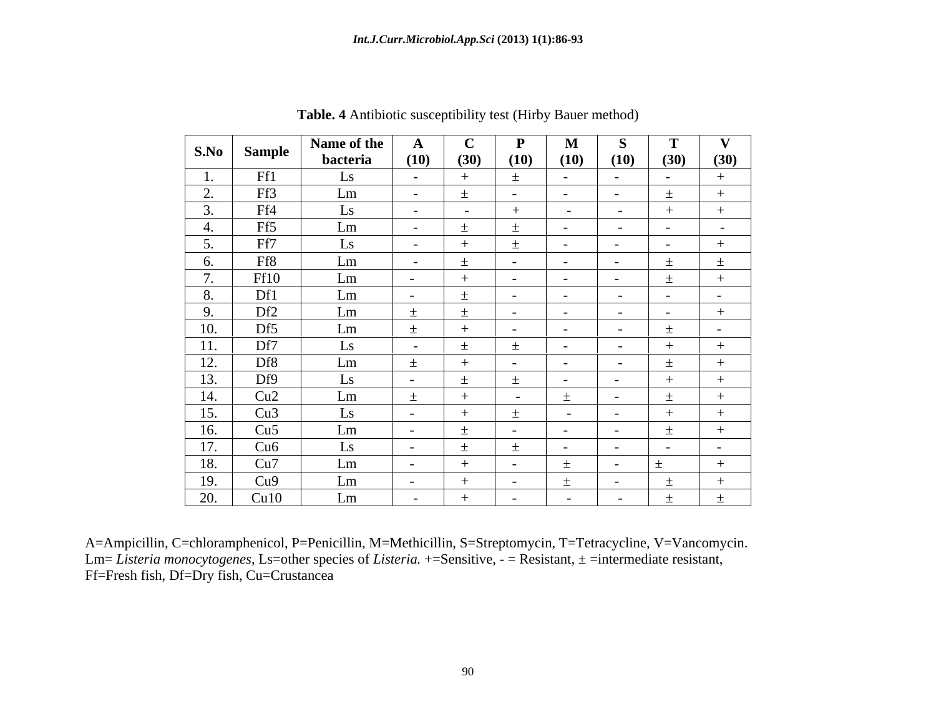|                                                                  |                                                                                                                | Name of the   A |                                                               |                                            | $\mathbf{P}$                        | $\mathbf{M}$                 |                                   |                                                                                                                       | $\mathbf{v}$                                                      |
|------------------------------------------------------------------|----------------------------------------------------------------------------------------------------------------|-----------------|---------------------------------------------------------------|--------------------------------------------|-------------------------------------|------------------------------|-----------------------------------|-----------------------------------------------------------------------------------------------------------------------|-------------------------------------------------------------------|
|                                                                  | S.No Sample                                                                                                    | bacteria        | (10)                                                          |                                            |                                     |                              |                                   | $(30)$ $(10)$ $(10)$ $(10)$ $(30)$                                                                                    | $\frac{(30)}{2}$                                                  |
| $\begin{array}{ c c c c c }\n\hline\n1. & \\\hline\n\end{array}$ | Ff1                                                                                                            | LS —            | <b>Service Contract</b>                                       | $+$                                        |                                     | <b>Contract Contract</b>     | <b>Contract Contract State</b>    | <b>Contract Contract</b>                                                                                              |                                                                   |
| $\sim$                                                           | Ff3                                                                                                            | Lm              | $\sim$                                                        |                                            | $\sim 10^{-10}$                     | $\sim 10^{-10}$              | <b>Contract Contract</b>          |                                                                                                                       |                                                                   |
| $\overline{\phantom{a}}$<br><u>.</u>                             | Ff4                                                                                                            | LS              | $\sim$ $ -$                                                   | <b>Contract Contract</b>                   | $+$                                 | <b>Contract Contract</b>     | <b>Contract Contract</b>          |                                                                                                                       |                                                                   |
| 4.                                                               |                                                                                                                | Lm              | $\sim$ $\sim$                                                 | $+$                                        | $+$                                 | $\sim 10^{-10}$              | <b>Contract Contract</b>          | <b>Contract Contract</b>                                                                                              | $\sim 100$ m $^{-1}$                                              |
| $\sim$ 5                                                         | $\frac{\text{Ff5}}{\text{Ff7}}$                                                                                | LS —            | $\sim$ $-$                                                    | $+$                                        | $+$                                 | $\sim$ 100 $\sim$ 100 $\sim$ | <b>Contract Contract Street</b>   | <b>Contract Contract</b>                                                                                              | $+$                                                               |
| $\frac{1}{\sqrt{1-\frac{1}{2}}}$                                 | Ff8                                                                                                            | Lm              | $\sim$ $-$                                                    |                                            | <b>Contract Contract</b>            | <b>Contract Contract</b>     | $\sim$ $-$                        |                                                                                                                       |                                                                   |
| 6.<br>$\sqrt{ }$                                                 |                                                                                                                | Lm              |                                                               | $+$                                        | $\sim 10^{-10}$                     | $\sim$ $-$                   | $\sim$ $-$                        |                                                                                                                       |                                                                   |
|                                                                  | $\frac{Ff10}{Df1}$                                                                                             |                 | <b>Contract Contract</b>                                      |                                            |                                     |                              |                                   |                                                                                                                       |                                                                   |
| 8.                                                               |                                                                                                                | Lm              | <b>Contract Contract</b>                                      |                                            | $\sim 10^{-10}$ m $^{-1}$           | <b>Contract Contract</b>     | $\sim$ $ -$                       | $\sim$ $-$                                                                                                            | $\sim$ $ \sim$<br>the contract of the contract of the contract of |
|                                                                  | Df2                                                                                                            | Lm              |                                                               | $+$                                        | $\sim 10^{-10}$                     | <b>Contract Contract</b>     | $\sim 10^{-10}$ m $^{-1}$         | <b>Contract Contract</b>                                                                                              | $+$                                                               |
|                                                                  | $\begin{array}{ c c } \hline 9. & Df2 \\ \hline 10. & Df5 \\ \hline \end{array}$                               | Lm              |                                                               | $+$<br>and the contract of the contract of | $\sim 10^{-10}$                     | $\sim$ $ \sim$               | $\sim 10^{-10}$ km s $^{-1}$      |                                                                                                                       | $\sim 10^{-10}$                                                   |
| $\boxed{11}$                                                     | Df7                                                                                                            |                 | $\sim$                                                        |                                            | $+$                                 |                              | $\sim$ $-$                        | <u> La Carlo de la Carlo de la Carlo de la Carlo de la Carlo de la Carlo de la Carlo de la Carlo de la Carlo de l</u> |                                                                   |
|                                                                  |                                                                                                                | Lm              |                                                               | $+$                                        | $\sim 10^{-10}$                     | $\sim 10^{-10}$              | $\sim$ $\sim$                     |                                                                                                                       |                                                                   |
|                                                                  | 12. Df8<br>13. Df9                                                                                             | LS              | $\sim$ 100 $\sim$ 100 $\sim$                                  | ______                                     |                                     |                              |                                   |                                                                                                                       |                                                                   |
|                                                                  |                                                                                                                | Lm              |                                                               | $+$                                        | $\sim 100$ m $^{-1}$                |                              |                                   |                                                                                                                       | the control of the control of the                                 |
|                                                                  | 14. Cu <sub>2</sub><br>15. Cu <sub>3</sub><br>16. Cu <sub>5</sub><br>17. Cu6<br>18. Cu7<br>19. Cu9<br>20. Cu10 | LS —            | $\sim 10^{-10}$                                               | $+$                                        | $+$                                 | <b>Contract Contract</b>     | <b>Contract Contract</b>          | $+$                                                                                                                   | $+$                                                               |
|                                                                  |                                                                                                                | Lm              | the control of the control of<br>$\sim$ 100 $\sim$ 100 $\sim$ | $+$                                        | <b>Contract</b>                     | $\sim$ 100 $\sim$ 100 $\sim$ |                                   |                                                                                                                       | the control of the control of                                     |
|                                                                  |                                                                                                                |                 |                                                               |                                            |                                     |                              |                                   |                                                                                                                       |                                                                   |
|                                                                  |                                                                                                                |                 | <b>Contract Contract</b>                                      |                                            |                                     |                              | <b>Contract Contract Contract</b> | <b>Contract Contract</b>                                                                                              | $\sim 10^{-10}$                                                   |
|                                                                  |                                                                                                                | Lm              | $\sim$ 100 $\sim$ 100 $\sim$                                  | the control of the control of the          | $\sim$ $ \sim$                      |                              | $\sim$ $-$                        |                                                                                                                       |                                                                   |
|                                                                  |                                                                                                                | Lm              | <b>Common</b>                                                 | $+$                                        | $\sim 10^{-10}$                     | $+$                          | <b>Contract Contract</b>          |                                                                                                                       |                                                                   |
|                                                                  |                                                                                                                | Lm              | $\sim 10^{-10}$                                               | $+$                                        | $\sim 10^{-10}$ and $\sim 10^{-10}$ | <b>Contract Contract</b>     | <b>Contract Contract</b>          |                                                                                                                       |                                                                   |

**Table. 4** Antibiotic susceptibility test (Hirby Bauer method)

A=Ampicillin, C=chloramphenicol, P=Penicillin, M=Methicillin, S=Streptomycin, T=Tetracycline, V=Vancomycin. Lm= *Listeria monocytogenes*, Ls=other species of *Listeria.* +=Sensitive, - = Resistant, ± =intermediate resistant, Ff=Fresh fish, Df=Dry fish, Cu=Crustancea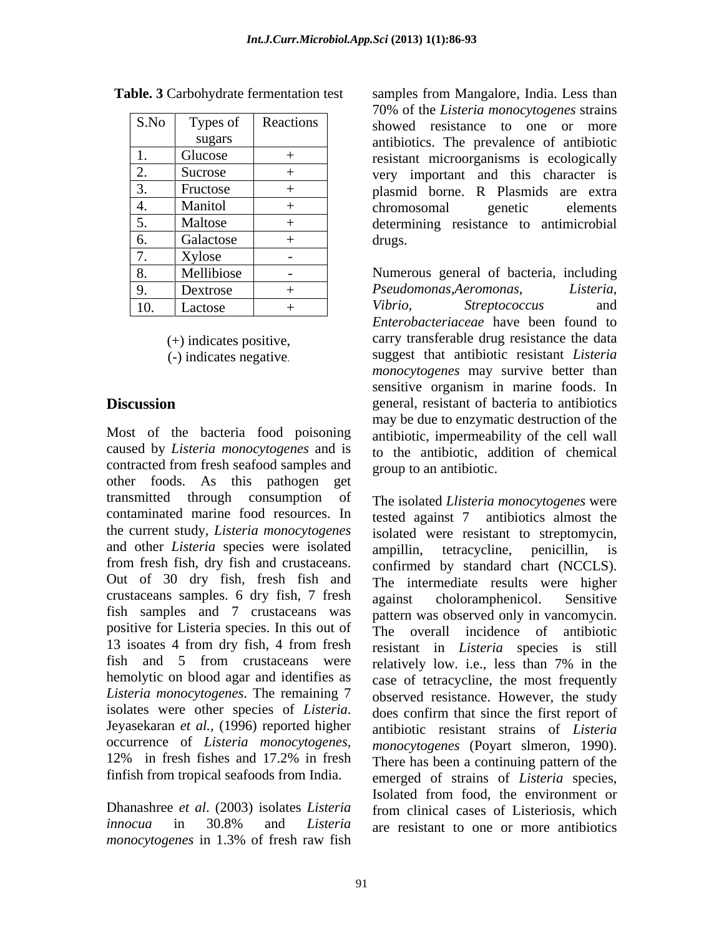| S.No       | Types of   | Reactions | showed resistance to one or more          |  |
|------------|------------|-----------|-------------------------------------------|--|
|            | sugars     |           | antibiotics. The prevalence of antibiotic |  |
|            | Glucose    | $+$       | resistant microorganisms is ecologically  |  |
| 2.         | Sucrose    | $+$       | very important and this character is      |  |
| 3.         | Fructose   | $+$       | plasmid borne. R Plasmids are extra       |  |
| 4.         | Manitol    | $+$       | chromosomal<br>genetic<br>elements        |  |
| 5.         | Maltose    | $+$       | determining resistance to antimicrobial   |  |
| 6.         | Galactose  | $+$       | drugs.                                    |  |
|            | Xylose     |           |                                           |  |
| 8.         | Mellibiose | $\sim$    | Numerous general of bacteria, including   |  |
| $\vert 9.$ | Dextrose   |           | Pseudomonas, Aeromonas,<br>Listeria,      |  |
| 10.        | Lactose    |           | Vibrio,<br><i>Streptococcus</i><br>and    |  |

contracted from fresh seafood samples and other foods. As this pathogen get transmitted through consumption of and other *Listeria* species were isolated ampillin, tetracycline, penicillin, is from fresh fish, dry fish and crustaceans. confirmed by standard chart (NCCLS). Out of 30 dry fish, fresh fish and The intermediate results were higher crustaceans samples. 6 dry fish, 7 fresh against choloramphenicol. Sensitive fish samples and 7 crustaceans was positive for Listeria species. In this out of fish and 5 from crustaceans were relatively low i.e., less than 7% in the *Listeria monocytogenes*. The remaining 7 isolates were other species of *Listeria*. Jeyasekaran *et al.,* (1996) reported higher

*innocua* in 30.8% and *Listeria*  are resistant to one or more antibiotics*monocytogenes* in 1.3% of fresh raw fish

**Table. 3** Carbohydrate fermentation test samples from Mangalore, India. Less than S.No Types of Reactions showed resistance to one or more sugars antibiotics. The prevalence of antibiotic 1. Glucose  $+$  resistant microorganisms is ecologically 2. Sucrose  $+$  very important and this character is 3. Fructose + plasmid borne. R Plasmids are extra 4. | Manitol | + | chromosomal genetic elements 5. Maltose + determining resistance to antimicrobial 6.  $Galactose$   $+$   $drugs.$ 70% of the *Listeria monocytogenes* strains chromosomal genetic elements drugs. **Example 20**  $\alpha$  and 20  $\alpha$  and 20  $\alpha$  and 20  $\alpha$  and 20  $\alpha$  and 20  $\alpha$  and 20  $\alpha$  and 20  $\alpha$  and 20  $\alpha$  and 20  $\alpha$  and 20  $\alpha$  and 20  $\alpha$  and 20  $\alpha$  and 20  $\alpha$  and 20  $\alpha$  and 20  $\alpha$  and 20  $\alpha$  and 2

8. Mellibiose | - | Numerous general of bacteria, including 9. Dextrose + Pseudomonas, Aeromonas, Listeria, 10. Lactose + *Vibrio*, *Streptococcus* and (+) indicates positive, carry transferable drug resistance the data (-) indicates negative. suggest that antibiotic resistant *Listeria*  **Discussion** general, resistant of bacteria to antibiotics Most of the bacteria food poisoning antibiotic, impermeability of the cell wall caused by *Listeria monocytogenes* and is to the antibiotic, addition of chemical *Pseudomonas,Aeromonas*, *Listeria*, *Vibrio, Streptococcus* and *Enterobacteriaceae* have been found to *monocytogenes* may survive better than sensitive organism in marine foods. In may be due to enzymatic destruction of the group to an antibiotic.

contaminated marine food resources. In tested against 7 antibiotics almost the the current study, *Listeria monocytogenes* isolated were resistant to streptomycin, 13 isoates 4 from dry fish, 4 from fresh resistant in *Listeria* species is still hemolytic on blood agar and identifies as case of tetracycline, the most frequently occurrence of *Listeria monocytogenes*, *monocytogenes* (Poyart slmeron, 1990).<br>12% in fresh fishes and 17.2% in fresh There has been a continuing pattern of the finfish from tropical seafoods from India. emerged of strains of *Listeria* species, Dhanashree *et al*. (2003) isolates *Listeria*  from clinical cases of Listeriosis, which The isolated *Llisteria monocytogenes* were ampillin, tetracycline, penicillin, is confirmed by standard chart (NCCLS). The intermediate resultswere higher against choloramphenicol. Sensitive pattern was observed only in vancomycin. The overall incidence of antibiotic resistant in *Listeria* species is still relatively low. i.e., less than 7% in the observed resistance. However, the study does confirm that since the first report of antibiotic resistant strains of *Listeria monocytogenes* (Poyart slmeron, 1990). There has been a continuing pattern of the Isolated from food, the environment or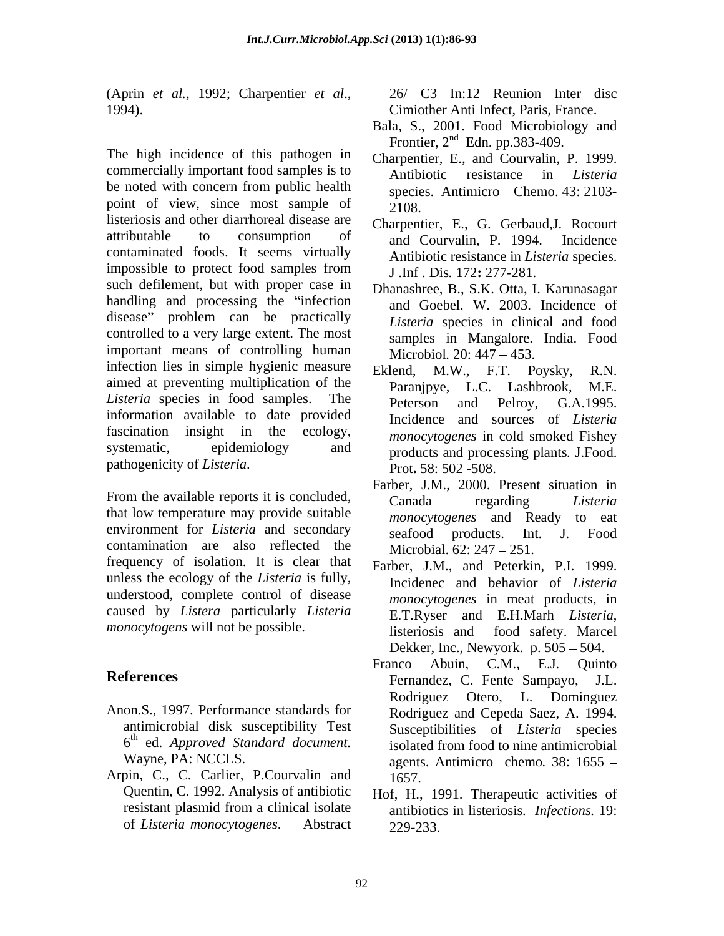(Aprin *et al.,* 1992; Charpentier *et al*., 1994).

The high incidence of this pathogen in commercially important food samples is to Antibiotic resistance in Listeria be noted with concern from public health point of view, since most sample of  $2108$ . listeriosis and other diarrhoreal disease are attributable to consumption of  $\frac{1}{2}$  courval p 1994 Incidence contaminated foods. It seems virtually impossible to protect food samples from  $\overline{I}$  Inf Dis 172: 277-281 such defilement, but with proper case in handling and processing the "infection" disease" problem can be practically controlled to a very large extent. The most important means of controlling human infection lies in simple hygienic measure Eklend, M.W., F.T. Poysky, R.N. aimed at preventing multiplication of the  $P_{\text{arani}}$   $\mathbf{L} \mathbf{C}$  Lashbrook. M.E. *Listeria* species in food samples. The **PERSON** and Pelroy, G.A.1995. information available to date provided fascination insight in the ecology, *monocytogenes* in cold smoked Fishey systematic, epidemiology and products and processing plants. J.Food.

that low temperature may provide suitable environment for *Listeria* and secondary seafood products. Int. J. Food contamination are also reflected the frequency of isolation. It is clear that unless the ecology of the *Listeria* is fully, understood, complete control of disease caused by *Listera* particularly *Listeria* 

- Anon.S., 1997. Performance standards for
- Arpin, C., C. Carlier, P.Courvalin and 1657. Quentin, C. 1992. Analysis of antibiotic of *Listeria monocytogenes*. Abstract

26/ C3 In:12 Reunion Inter disc Cimiother Anti Infect, Paris, France.

- Bala, S., 2001. Food Microbiology and Frontier,  $2<sup>nd</sup>$  Edn. pp.383-409.
- Charpentier, E., and Courvalin, P. 1999. Antibiotic resistance in *Listeria* species. Antimicro Chemo. 43: 2103- 2108.
- Charpentier, E., G. Gerbaud,J. Rocourt and Courvalin, P. 1994. Incidence Antibiotic resistance in *Listeria* species. J .Inf . Dis*.* 172**:** 277-281.
- Dhanashree, B., S.K. Otta, I. Karunasagar and Goebel. W. 2003. Incidence of *Listeria* species in clinical and food samples in Mangalore. India. Food Microbiol. 20: 447 – 453.
- Eklend, M.W., F.T. Poysky, Paranjpye, L.C. Lashbrook, Peterson and Pelroy, G.A.1995. Incidence and sources of *Listeria*  products and processing plants*.* J.Food. Prot**.** 58: 502 -508.
- pathogenicity of *Listeria*.<br>From the available reports it is concluded,<br>From the available reports it is concluded,<br>Canada regarding *Listeria* Farber, J.M., 2000. Present situation in Canada regarding *Listeria monocytogenes* and Ready to eat seafood products. Int. J. Food Microbial. 62: 247 – 251.
- *monocytogens* will not be possible. **Example 1996** is sensible that the sensible is the sensible of the sensible is sensible that the sensible is the sensible in the sensible is sensible in the sensible in the sensible in Farber, J.M., and Peterkin, P.I. 1999. Incidenec and behavior of *Listeria monocytogenes* in meat products, in E.T.Ryser and E.H.Marh *Listeria*, listeriosis and food safety. Marcel Dekker, Inc., Newyork. p.  $505 - 504$ .
- **References** Fernandez, C. Fente Sampayo, J.L. antimicrobial disk susceptibility Test Susceptibilities of *Listeria* species  $6<sup>th</sup>$  ed. Approved Standard document. isolated from food to nine antimicrobial ed. *Approved Standard document.* isolated from food to nine antimicrobial Wayne, PA: NCCLS. agents. Antimicro chemo. 38: 1655 – Franco Abuin, C.M., E.J. Quinto Fernandez, C. Fente Sampayo, J.L. Rodriguez Otero, L. Dominguez Rodriguez and Cepeda Saez, A. 1994. 1657.
	- resistant plasmid from a clinical isolate antiphiotics in listeriosis. *Infections*, 19: Hof, H., 1991. Therapeutic activities of antibiotics in listeriosis*. Infections.* 19: 229-233.